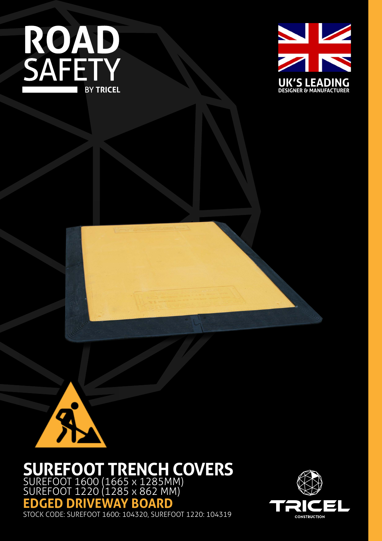





# **SUREFOOT TRENCH COVERS**

SUREFOOT 1600 (1665 x 1285MM) SUREFOOT 1220 (1285 x 862 MM) **EDGED DRIVEWAY BOARD**

STOCK CODE: SUREFOOT 1600: 104320, SUREFOOT 1220: 104319

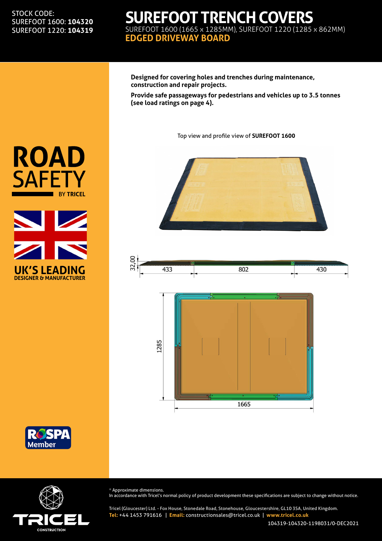#### STOCK CODE: SUREFOOT 1600: **104320** SUREFOOT 1220: **104319**

### **SUREFOOT TRENCH COVERS** SUREFOOT 1600 (1665 x 1285MM), SUREFOOT 1220 (1285 x 862MM) **EDGED DRIVEWAY BOARD**

**Designed for covering holes and trenches during maintenance, construction and repair projects.**

**Provide safe passageways for pedestrians and vehicles up to 3.5 tonnes (see load ratings on page 4).**

Top view and profile view of **SUREFOOT 1600**









**UK'S LEADING DESIGNER & MANUFACTURER**

**ROAD** 

**SAFETY** 

**BY TRICEL** 



\* Approximate dimensions. In accordance with Tricel's normal policy of product development these specifications are subject to change without notice.

Tricel (Gloucester) Ltd. - Fox House, Stonedale Road, Stonehouse, Gloucestershire, GL10 3SA, United Kingdom. **Tel:** +44 1453 791616 | **Email:** constructionsales@tricel.co.uk | **www.tricel.co.uk**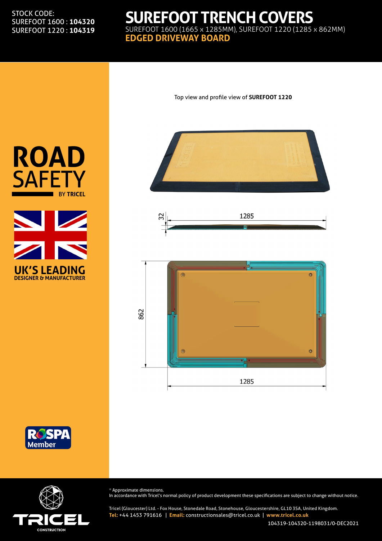#### STOCK CODE: SUREFOOT 1600 : **104320** SUREFOOT 1220 : **104319**

### **SUREFOOT TRENCH COVERS** SUREFOOT 1600 (1665 x 1285MM), SUREFOOT 1220 (1285 x 862MM) **EDGED DRIVEWAY BOARD**



Top view and profile view of **SUREFOOT 1220**











\* Approximate dimensions.

In accordance with Tricel's normal policy of product development these specifications are subject to change without notice.

Tricel (Gloucester) Ltd. - Fox House, Stonedale Road, Stonehouse, Gloucestershire, GL10 3SA, United Kingdom. **Tel:** +44 1453 791616 | **Email:** constructionsales@tricel.co.uk | **www.tricel.co.uk**